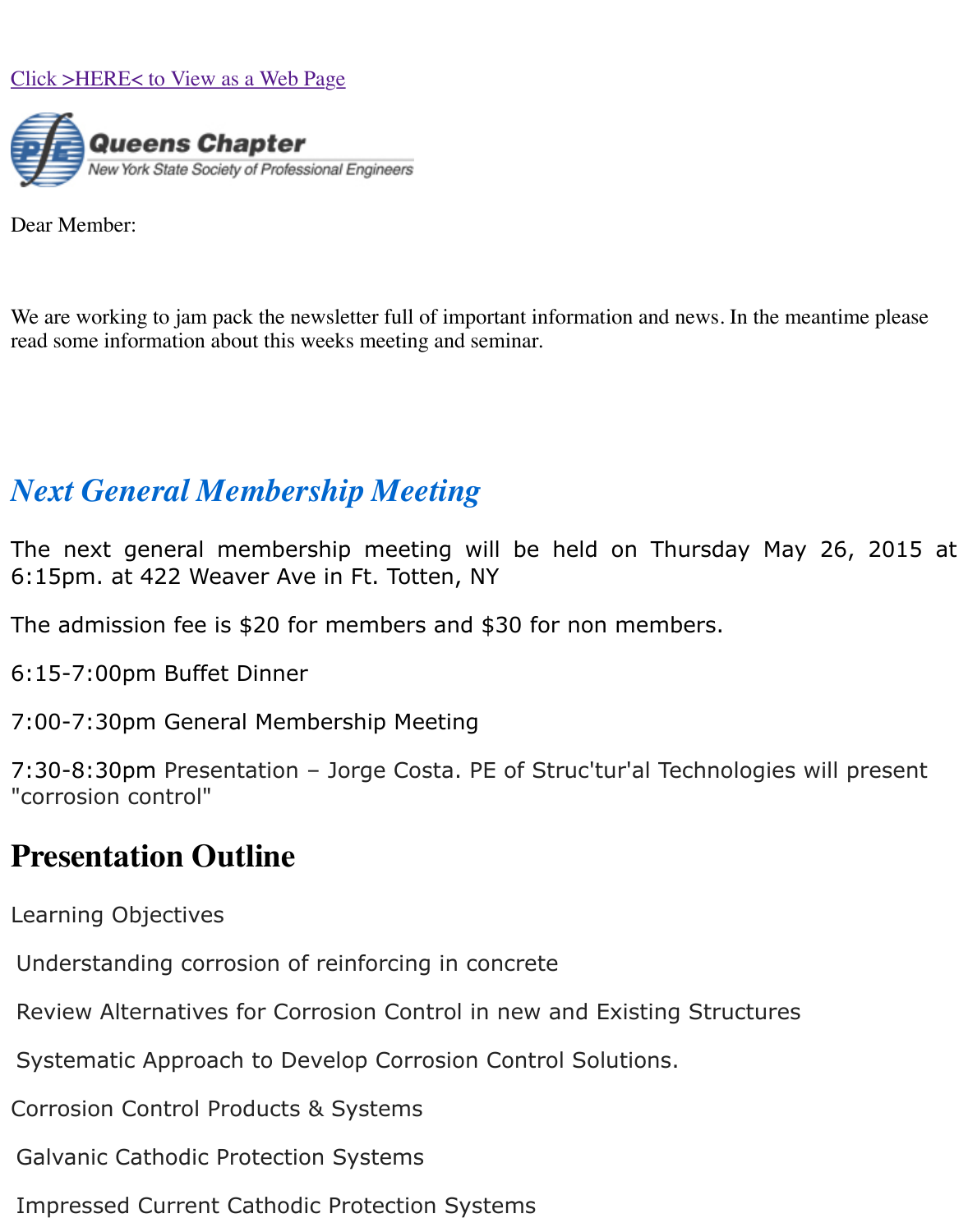

[Dear Member:](http://x.jmxded116.net/w.z?j=319949057&m=8e884d825f9947a9a863c333f4d7915f)

We are working to jam pack the newsletter full of important information and news. In the mea read some information about this weeks meeting and seminar.

## *Next General Membership Meeting*

The next general membership meeting will be held on Thursday May 6:15pm. at 422 Weaver Ave in Ft. Totten, NY

The admission fee is \$20 for members and \$30 for non members.

6:15-7:00pm Buffet Dinner

7:00-7:30pm General Membership Meeting

7:30-8:30pm Presentation - Jorge Costa. PE of Struc'tur'al Technologies w "corrosion control"

## **Presentation Outline**

Learning Objectives

Understanding corrosion of reinforcing in concrete

Review Alternatives for Corrosion Control in new and Existing Structures

Systematic Approach to Develop Corrosion Control Solutions.

Corrosion Control Products & Systems

Galvanic Cathodic Protection Systems

Impressed Current Cathodic Protection Systems